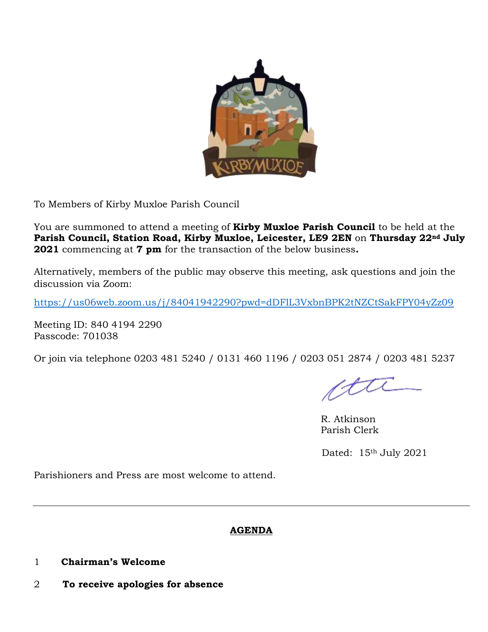

To Members of Kirby Muxloe Parish Council

You are summoned to attend a meeting of **Kirby Muxloe Parish Council** to be held at the **Parish Council, Station Road, Kirby Muxloe, Leicester, LE9 2EN** on **Thursday 22nd July 2021** commencing at **7 pm** for the transaction of the below business**.**

Alternatively, members of the public may observe this meeting, ask questions and join the discussion via Zoom:

<https://us06web.zoom.us/j/84041942290?pwd=dDFlL3VxbnBPK2tNZCtSakFPY04yZz09>

Meeting ID: 840 4194 2290 Passcode: 701038

Or join via telephone 0203 481 5240 / 0131 460 1196 / 0203 051 2874 / 0203 481 5237

ctti

R. Atkinson Parish Clerk

Dated: 15<sup>th</sup> July 2021

Parishioners and Press are most welcome to attend.

### **AGENDA**

- 1 **Chairman's Welcome**
- 2 **To receive apologies for absence**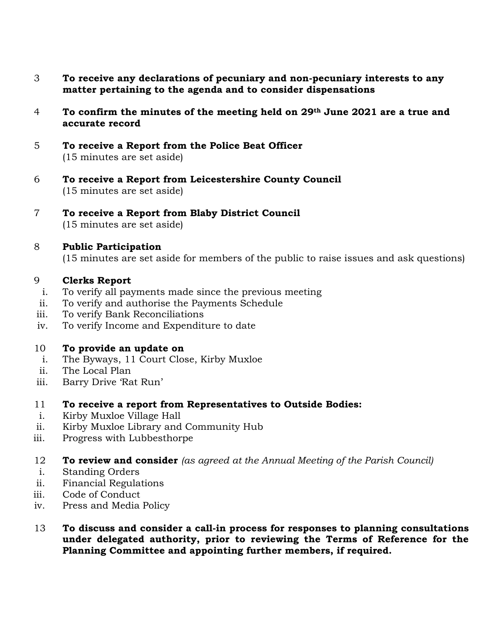- 3 **To receive any declarations of pecuniary and non-pecuniary interests to any matter pertaining to the agenda and to consider dispensations**
- 4 **To confirm the minutes of the meeting held on 29th June 2021 are a true and accurate record**
- 5 **To receive a Report from the Police Beat Officer**  (15 minutes are set aside)
- 6 **To receive a Report from Leicestershire County Council** (15 minutes are set aside)
- 7 **To receive a Report from Blaby District Council** (15 minutes are set aside)
- 8 **Public Participation**

(15 minutes are set aside for members of the public to raise issues and ask questions)

### 9 **Clerks Report**

- i. To verify all payments made since the previous meeting
- ii. To verify and authorise the Payments Schedule
- iii. To verify Bank Reconciliations
- iv. To verify Income and Expenditure to date

### 10 **To provide an update on**

- i. The Byways, 11 Court Close, Kirby Muxloe
- ii. The Local Plan
- iii. Barry Drive 'Rat Run'

# 11 **To receive a report from Representatives to Outside Bodies:**

- i. Kirby Muxloe Village Hall
- ii. Kirby Muxloe Library and Community Hub
- iii. Progress with Lubbesthorpe
- 12 **To review and consider** *(as agreed at the Annual Meeting of the Parish Council)*
- i. Standing Orders
- ii. Financial Regulations
- iii. Code of Conduct
- iv. Press and Media Policy
- 13 **To discuss and consider a call-in process for responses to planning consultations under delegated authority, prior to reviewing the Terms of Reference for the Planning Committee and appointing further members, if required.**